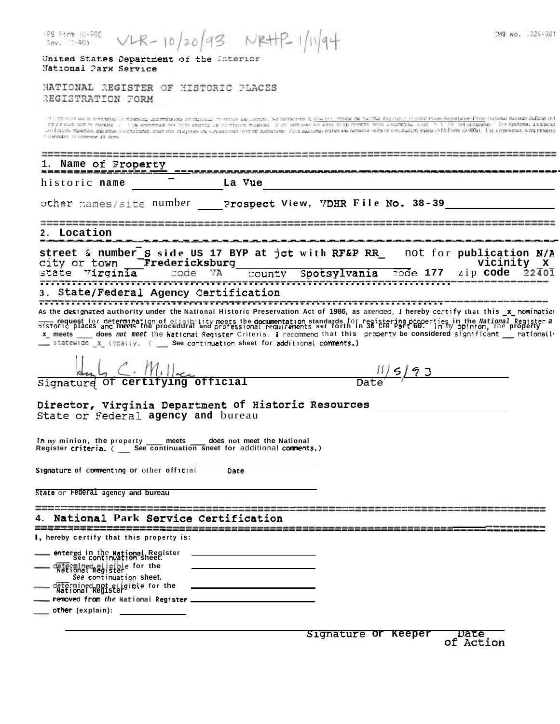| SPS Form 10-980<br>$VLR - 10/20$<br>$7ev. 7-901$                                                                                                                                                                                                                                                                                                                                                                                                                                                                                                                                                                                                                                                                        | 3 NRH                              |              |          | CMB No. : 024-001                                             |
|-------------------------------------------------------------------------------------------------------------------------------------------------------------------------------------------------------------------------------------------------------------------------------------------------------------------------------------------------------------------------------------------------------------------------------------------------------------------------------------------------------------------------------------------------------------------------------------------------------------------------------------------------------------------------------------------------------------------------|------------------------------------|--------------|----------|---------------------------------------------------------------|
| United States Department of the Interior<br>National Park Service                                                                                                                                                                                                                                                                                                                                                                                                                                                                                                                                                                                                                                                       |                                    |              |          |                                                               |
| NATIONAL REGISTER OF HISTORIC PLACES<br>REGISTRATION FORM                                                                                                                                                                                                                                                                                                                                                                                                                                                                                                                                                                                                                                                               |                                    |              |          |                                                               |
| "All the worldscan nominating or requesting determinations for managementers and districts, we instructions in tiom to a implemente of National Requested of Houster sheristration Form (National Requester Bulletin 10A<br>mplote each stem by marking in this arementate now or ny entering the internation requested. If any nem does not apply 10 the nonethy reine uocurrented, enter 15 A 1 for not approache. "For functions, architectur<br>-influencementals, and areas of stightforme, enter only enterprise and surgener inviting instructions. This additional entires and natrative stems of continuation streets (NPS Form (0-900a). Use a typewriter, work processo<br>computer, to complete 411 flores. |                                    |              |          |                                                               |
| Name of Property                                                                                                                                                                                                                                                                                                                                                                                                                                                                                                                                                                                                                                                                                                        |                                    |              |          |                                                               |
| historic name                                                                                                                                                                                                                                                                                                                                                                                                                                                                                                                                                                                                                                                                                                           | La Vue                             |              |          |                                                               |
| other names/site number                                                                                                                                                                                                                                                                                                                                                                                                                                                                                                                                                                                                                                                                                                 | Prospect View, VDHR File No. 38-39 |              |          |                                                               |
| Location                                                                                                                                                                                                                                                                                                                                                                                                                                                                                                                                                                                                                                                                                                                |                                    |              |          |                                                               |
| street & number S side US 17 BYP at jct with RF&P RR<br>Fredericksburg<br>city or town<br>code                                                                                                                                                                                                                                                                                                                                                                                                                                                                                                                                                                                                                          |                                    | Spotsylvania | rode 177 | not for publication N/A<br>vicinity<br>x<br>zip code<br>22401 |
| Virginia                                                                                                                                                                                                                                                                                                                                                                                                                                                                                                                                                                                                                                                                                                                | county                             |              |          |                                                               |
| State/Federal Agency Certification                                                                                                                                                                                                                                                                                                                                                                                                                                                                                                                                                                                                                                                                                      |                                    |              |          |                                                               |
| As the designated authority under the National Historic Preservation Act of 1986, as amended, I hereby certify that this _x_ nomination<br>Historic pequest for determination of eligibility meets the documentation standards for registering properties in the National Register a<br>Historic places and meets the procedural and professional requirements set forth in<br>x_ meets ____ does not meet the National Register Criteria. I recommend that this property be considered significant ___ nationall<br>__ statewide x (ocally. ( See continuation sheet for additional comments.)                                                                                                                         |                                    |              |          |                                                               |
| $\subset$ . $m$ .                                                                                                                                                                                                                                                                                                                                                                                                                                                                                                                                                                                                                                                                                                       |                                    |              |          |                                                               |
| Signature of certifying official                                                                                                                                                                                                                                                                                                                                                                                                                                                                                                                                                                                                                                                                                        |                                    |              |          |                                                               |
| Director, Virginia Department of Historic Resources<br>State or Federal agency and bureau                                                                                                                                                                                                                                                                                                                                                                                                                                                                                                                                                                                                                               |                                    |              |          |                                                               |
| In my minion, the property ____ meets ____ does not meet the National<br>Register criteria. ( __ See continuation sneet for additional comments.)                                                                                                                                                                                                                                                                                                                                                                                                                                                                                                                                                                       |                                    |              |          |                                                               |
| Signature of commenting or other official                                                                                                                                                                                                                                                                                                                                                                                                                                                                                                                                                                                                                                                                               | Date                               |              |          |                                                               |
| State or Federal agency and bureau                                                                                                                                                                                                                                                                                                                                                                                                                                                                                                                                                                                                                                                                                      |                                    |              |          |                                                               |
| National Park Service Certification                                                                                                                                                                                                                                                                                                                                                                                                                                                                                                                                                                                                                                                                                     |                                    |              |          |                                                               |
| <b>I</b> , hereby certify that this property is:                                                                                                                                                                                                                                                                                                                                                                                                                                                                                                                                                                                                                                                                        |                                    |              |          |                                                               |
| entered in the National Register<br>See continuation sheet.                                                                                                                                                                                                                                                                                                                                                                                                                                                                                                                                                                                                                                                             |                                    |              |          |                                                               |
| etermined eligible for the<br>See continuation Sheet.                                                                                                                                                                                                                                                                                                                                                                                                                                                                                                                                                                                                                                                                   |                                    |              |          |                                                               |
| determined not etigible for the<br>National Register<br>removed from the National Register                                                                                                                                                                                                                                                                                                                                                                                                                                                                                                                                                                                                                              |                                    |              |          |                                                               |

\_\_\_\_ other (explain): \_\_\_\_\_\_\_\_\_\_\_\_\_

Date<br>of Action Signature or Keeper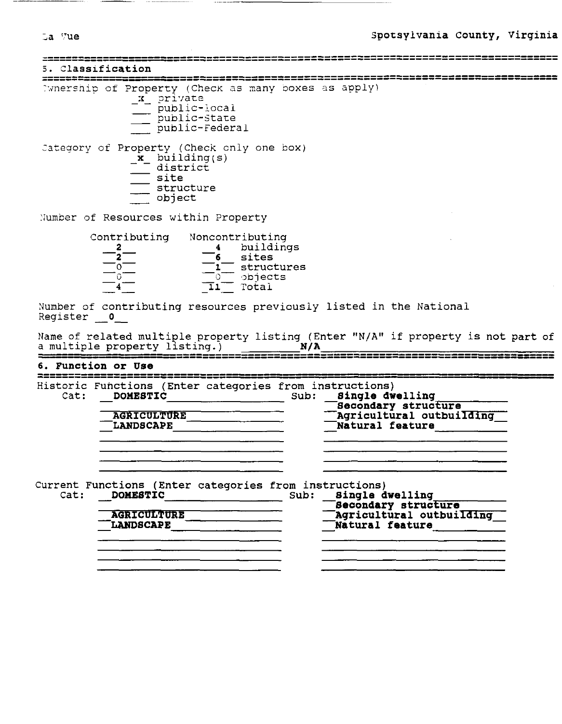| $\sim$<br>. . |
|---------------|
|               |

5. Classification

Evnership of Property (Check as many boxes as apply)

- x private - public-local
	- public-state
- public-Federal

Category of Property (Check only one box)<br>
\_**x**\_ building(s)

- 
- $\overline{\phantom{a}}$  district
- site
- $\frac{1}{2}$  structure
- object

Number of Resources within Property

| Contributing | Noncontributing |
|--------------|-----------------|
|              | buildings       |
|              | sites           |
|              | structures      |
|              | objects         |
|              | Total           |

Number of contributing resources previously listed in the National Register 0

Name of related multiple property listing (Enter "N/A" if property is not part of  $N/A$ a multiple property listing.)

|                    |  |  |  | the control of the control of the communication and the second control of the control of the control of the con |
|--------------------|--|--|--|-----------------------------------------------------------------------------------------------------------------|
|                    |  |  |  |                                                                                                                 |
| 6. Function or Use |  |  |  |                                                                                                                 |
|                    |  |  |  |                                                                                                                 |
|                    |  |  |  |                                                                                                                 |

| Cat: | Historic Functions (Enter categories from instructions)<br><b>DOMESTIC</b> | Sub: | Single dwelling                                                           |
|------|----------------------------------------------------------------------------|------|---------------------------------------------------------------------------|
|      | <b>AGRICULTURE</b><br><b>LANDSCAPE</b>                                     |      | Secondary structure<br>Agricultural outbuilding<br><b>Natural feature</b> |
|      |                                                                            |      |                                                                           |
| Cat: | Current Functions (Enter categories from instructions)<br><b>DOMESTIC</b>  | Sub: | <b>Single dwelling</b>                                                    |

| <b>AGRICULTURE</b><br><b>LANDSCAPE</b> | Becondary structure<br>Agricultural outbuilding<br><b>Natural feature</b> |
|----------------------------------------|---------------------------------------------------------------------------|
|                                        |                                                                           |
|                                        |                                                                           |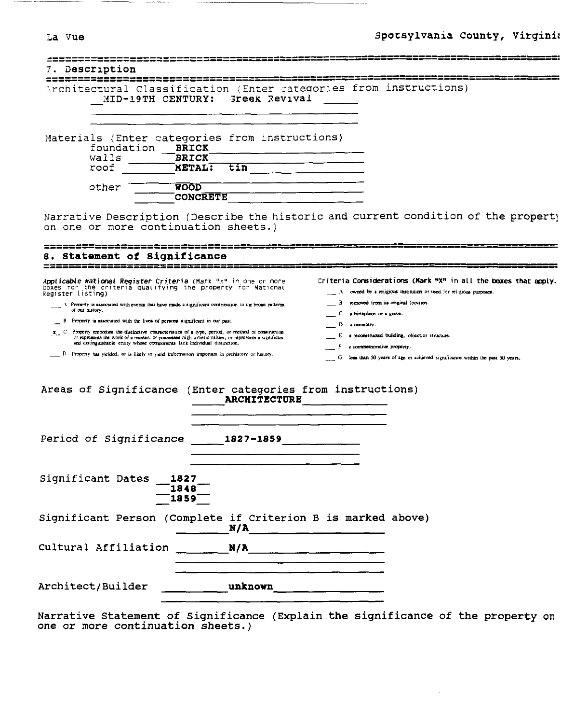|  |  | 7ue |
|--|--|-----|
|--|--|-----|

| Description                                                                                                                                                                                                                                                                                       |                                |                                                                                                                                                                                                                               |
|---------------------------------------------------------------------------------------------------------------------------------------------------------------------------------------------------------------------------------------------------------------------------------------------------|--------------------------------|-------------------------------------------------------------------------------------------------------------------------------------------------------------------------------------------------------------------------------|
| MID-19TH CENTURY:                                                                                                                                                                                                                                                                                 | Greek Revival                  | Architectural Classification (Enter categories from instructions)                                                                                                                                                             |
|                                                                                                                                                                                                                                                                                                   |                                |                                                                                                                                                                                                                               |
| Materials (Enter categories from instructions)<br>foundation<br>walls                                                                                                                                                                                                                             | <b>BRICK</b><br><b>BRICK</b>   |                                                                                                                                                                                                                               |
| roof                                                                                                                                                                                                                                                                                              | $\mathsf{METAL}$ :<br>tin      |                                                                                                                                                                                                                               |
| other                                                                                                                                                                                                                                                                                             | <b>WOOD</b><br><b>CONCRETE</b> |                                                                                                                                                                                                                               |
| on one or more continuation sheets.)                                                                                                                                                                                                                                                              |                                | Narrative Description (Describe the historic and current condition of the property                                                                                                                                            |
| Statement of Significance                                                                                                                                                                                                                                                                         |                                |                                                                                                                                                                                                                               |
| Applicable National Register Criteria (Mark "x" in one or more<br>boxes for the criteria qualifying the property for National<br>Register listing)                                                                                                                                                |                                | Criteria Considerations (Mark "X" in all the boxes that apply.<br>A owned by a religious institution or used for religious purposes.                                                                                          |
| A Property is associated with events that have made a significant contribution to the broad patterns<br>of our history.                                                                                                                                                                           |                                | B removed from its original location.<br>c<br>a birthplace or a grave.                                                                                                                                                        |
| B Property is associated with the lives of persons significant in our past.                                                                                                                                                                                                                       |                                | D<br>a complety.                                                                                                                                                                                                              |
| x <sub>1</sub> C Property embodies the distinctive characteristics of a type, period, or method of construction<br>or representa the work of a master, or possesses high artistic values, or represents a significant<br>and distinguishable entity whose components lack individual distinction. |                                | E a reconstructed building, object or structure.                                                                                                                                                                              |
| D. Property has yielded, or is likely to yield information important in prehistory or history.                                                                                                                                                                                                    |                                | F a commemorative property.<br>G less than 50 years of age or actileved significance within the past 50 years.                                                                                                                |
| Areas of Significance (Enter categories from instructions)                                                                                                                                                                                                                                        | <b>ARCHITECTURE</b>            |                                                                                                                                                                                                                               |
|                                                                                                                                                                                                                                                                                                   |                                |                                                                                                                                                                                                                               |
| Period of Significance 1827-1859                                                                                                                                                                                                                                                                  |                                |                                                                                                                                                                                                                               |
| Significant Dates<br>1827                                                                                                                                                                                                                                                                         | 1848<br>1859                   |                                                                                                                                                                                                                               |
| Significant Person (Complete if Criterion B is marked above)                                                                                                                                                                                                                                      | N/A                            |                                                                                                                                                                                                                               |
| Cultural Affiliation                                                                                                                                                                                                                                                                              | N/A                            | the control of the control of the control of the control of the control of the control of the control of the control of the control of the control of the control of the control of the control of the control of the control |
| Architect/Builder                                                                                                                                                                                                                                                                                 | unknown                        |                                                                                                                                                                                                                               |

Narrative Statement of Significance (Explain the significance of the property on one or more continuation sheets.)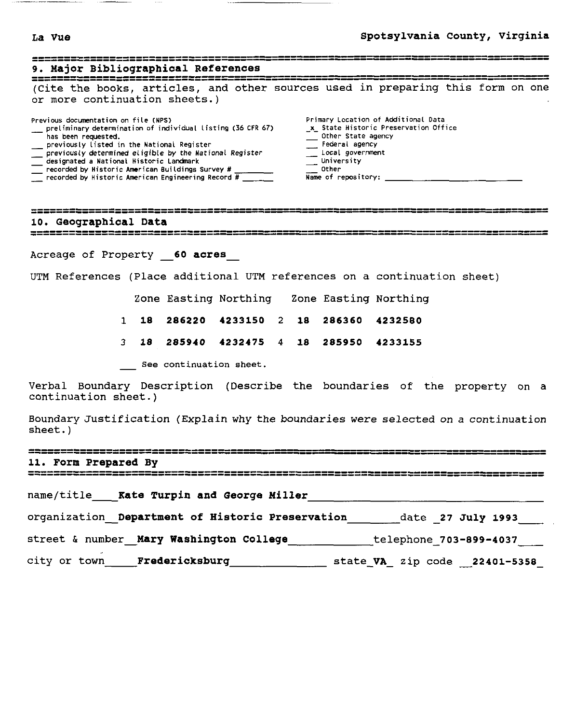$\sim$   $\sim$ 

# **~a vue Spotsylvania County, Virginia**

| 9. Major Bibliographical References                                                                                                                                                                                                                                                                                                                                                                                                                                                                                                                                                                                                                                                                                                                                                                               |  |
|-------------------------------------------------------------------------------------------------------------------------------------------------------------------------------------------------------------------------------------------------------------------------------------------------------------------------------------------------------------------------------------------------------------------------------------------------------------------------------------------------------------------------------------------------------------------------------------------------------------------------------------------------------------------------------------------------------------------------------------------------------------------------------------------------------------------|--|
| (Cite the books, articles, and other sources used in preparing this form on one<br>or more continuation sheets.)                                                                                                                                                                                                                                                                                                                                                                                                                                                                                                                                                                                                                                                                                                  |  |
| Primary Location of Additional Data<br>Previous documentation on file (NPS)<br>preliminary determination of individual listing (36 CFR 67)<br>x State Historic Preservation Office<br>$\frac{1}{\sqrt{2}}$ Other State agency<br>has been requested.<br>Federal agency<br>__ previously listed in the National Register<br>$\overline{\phantom{a}}$ previously determined eligible by the National Register<br>Local government<br>__ University<br>designated a National Historic Landmark<br>$\overline{\phantom{a}}$ recorded by Historic American Buildings Survey # $\overline{\phantom{a}}$<br>Other<br>$\frac{1}{\sqrt{1-\frac{1}{2}}}$ recorded by Historic American Engineering Record # $\frac{1}{\sqrt{1-\frac{1}{2}}}$<br>Name of repository: $\frac{1}{2}$ $\frac{1}{2}$ $\frac{1}{2}$ $\frac{1}{2}$ |  |
| 10. Geographical Data<br>===============================                                                                                                                                                                                                                                                                                                                                                                                                                                                                                                                                                                                                                                                                                                                                                          |  |
| Acreage of Property 60 acres                                                                                                                                                                                                                                                                                                                                                                                                                                                                                                                                                                                                                                                                                                                                                                                      |  |
| UTM References (Place additional UTM references on a continuation sheet)                                                                                                                                                                                                                                                                                                                                                                                                                                                                                                                                                                                                                                                                                                                                          |  |
| Zone Easting Northing Zone Easting Northing                                                                                                                                                                                                                                                                                                                                                                                                                                                                                                                                                                                                                                                                                                                                                                       |  |
| 286220 4233150 2 18 286360<br>$\mathbf{1}$<br>18.<br>4232580                                                                                                                                                                                                                                                                                                                                                                                                                                                                                                                                                                                                                                                                                                                                                      |  |
| 18 285940 4232475 4 18 285950<br>3<br>4233155                                                                                                                                                                                                                                                                                                                                                                                                                                                                                                                                                                                                                                                                                                                                                                     |  |
| See continuation sheet.                                                                                                                                                                                                                                                                                                                                                                                                                                                                                                                                                                                                                                                                                                                                                                                           |  |
| Verbal Boundary Description (Describe the boundaries of the property on a<br>continuation sheet.)                                                                                                                                                                                                                                                                                                                                                                                                                                                                                                                                                                                                                                                                                                                 |  |
| Boundary Justification (Explain why the boundaries were selected on a continuation<br>sheet.)                                                                                                                                                                                                                                                                                                                                                                                                                                                                                                                                                                                                                                                                                                                     |  |
| 11. Form Prepared By                                                                                                                                                                                                                                                                                                                                                                                                                                                                                                                                                                                                                                                                                                                                                                                              |  |
| '===================================                                                                                                                                                                                                                                                                                                                                                                                                                                                                                                                                                                                                                                                                                                                                                                              |  |
| organization_ Department of Historic Preservation_________date _27 July 1993____                                                                                                                                                                                                                                                                                                                                                                                                                                                                                                                                                                                                                                                                                                                                  |  |
| street & number_Mary Washington College___________telephone_703-899-4037____                                                                                                                                                                                                                                                                                                                                                                                                                                                                                                                                                                                                                                                                                                                                      |  |
|                                                                                                                                                                                                                                                                                                                                                                                                                                                                                                                                                                                                                                                                                                                                                                                                                   |  |
|                                                                                                                                                                                                                                                                                                                                                                                                                                                                                                                                                                                                                                                                                                                                                                                                                   |  |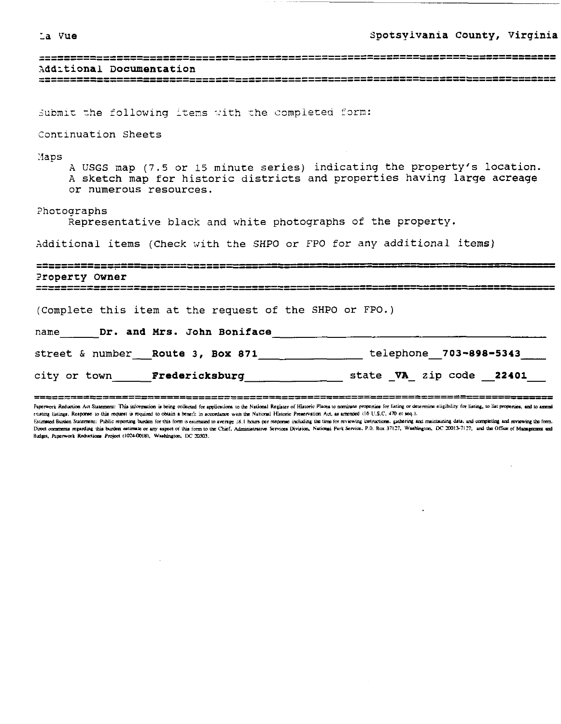#### La Vue

| ᆠᆖᆣᅈᇊᅈᆞᄄᄄᄄᇢᇢᅹᄹᄄᄄᇢᆄᄖᅌᇭᅃᄄᇛᇳᇛᇛᇛᇛᇛᇛᇛᇛᇛᅌᇰᇢᇛᅌᇰᆸᆣᄄᇢᅉᇃᇢᆤᄄᇚᄸᆷᇎᄖᄄᅌᇋᄖᅁᅌᅌᇮᅛᅛᅛᅛᅛᅟᅌᄀᄄᅟ |
|--------------------------------------------------------------------------|
| Additional Documentation                                                 |
|                                                                          |

Submit the following items with the completed form:

### Continuation Sheets

Maps

A USGS map (7.5 or 15 minute series) indicating the property's location. A sketch map for historic districts and properties having large acreage or numerous resources.

Photographs

Representative black and white photographs of the property.

Additional items (Check with the SHPO or FPO for any additional items)

# Property Owner (Complete this item at the request of the SHPO or FPO.) name Dr. and Mrs. John Boniface street & number Route 3, Box 871 belephone 703-898-5343 city or town Fredericksburg state VA zipcode 22401

================ Paperwork Reduction Act Statement: This information is being collected for applications to the National Register of Historic Places to nominate properties for listing or determine eligibility for listing, to list propertie existing listings. Response to this request is required to obtain a benefit in accordance with the National Historic Preservation Act, as amended (16 U.S.C. 470 et seq.).

Estimated Burden Statement: Public reporting burden for this form is estimated to average 18.1 hours per response including the time for reviewing instructions, gathering and maintaining data, and completing and reviewing Direct comments regarding this burden estimate or any aspect of this form to the Chief, Administrative Services Division, National Park Service, P.O. Box 37127, Washington, DC 20013-7127; and the Office of Management and Budget, Panerwork Reductions Project (1024-0018), Washington, DC 20503.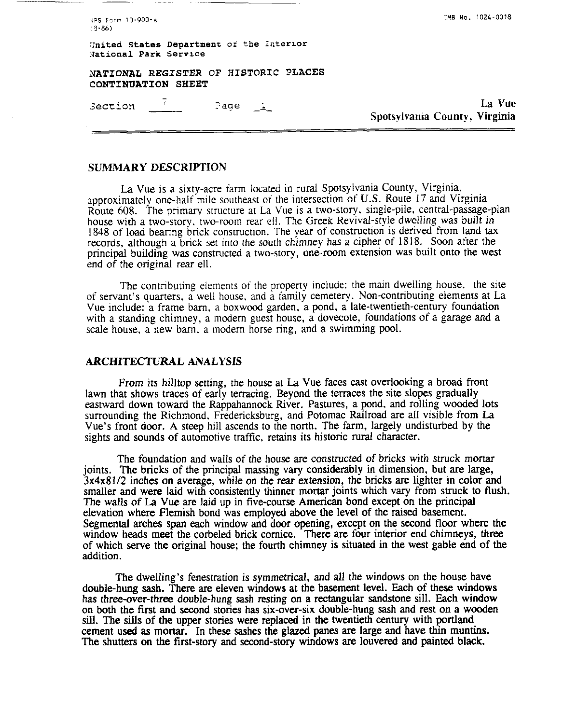SPS Form 10-900-a  $(3 - 86)$ 

**:ME No.** 1024-0018

**onited Statas Departmenr or the interror National Park Service** 

**NATIONAL REGISTER OF** IiISTORIC **PLACES CONTINUATION SHEET** 

 $\frac{7}{2}$  Page Section

La Vue Spotsvlvania County, Virginia

### **SUMMARY DESCRIPTION**

La Vue is a sixty-acre farm located in rural Spotsylvania County, Virginia, approximately one-half mile southeast of the intersection of U.S. Route 17 and Virginia Route 608. The primary structure at La Vue is a two-story, single-pile, central-passage-plan house with a two-story. two-room rear ell. The Greek Revival-style dwelling was built in 1848 of load bearing brick construction. The year of construction is derived from land **tax**  records, although a brick set into the south chimney has a cipher of 1818. Soon after the principal building was constructed a two-story, one-room extension was built onto the west end of the original rear ell.

The contributing elements of the property include: the main dwelling house, the site of servant's quarters. a well house. and a family cemetery. Non-contributing elements at La Vue include: a frame barn, a boxwood garden. a pond, a late-twentieth-century foundation with a standing chimney, a modem guest house, a dovecote, foundations of a garage and a scale house, a new barn, a modem horse ring, and a swimming pool.

## **ARCHITECTURAL** *ANALYSIS*

From its hilltop setting, the house at La Vue faces east overlooking a broad front lawn that shows traces of early terracing. Beyond the terraces the site slopes gradually eastward down toward the Rappahannock River. Pastures, a pond. and rolling wooded lots surrounding the Richmond. Fredericksburg, and Potomac Railroad are all visible from La Vue's front door. A steep hill ascends to the north. The farm, largely undisturbed by the sights and sounds of automotive traffic. retains its historic rural character.

The foundation and walls of the house are constructed of bricks with struck mortar joints. The bricks of the principal massing vary considerably in dimension, but are large, 3x4x81/2 inches on average, while on the rear extension, the bricks **are** lighter in color and smaller and were laid with consistently thinner mortar joints which vary from struck to flush. The walls of La Vue are laid up in five-course American bond except on the principal elevation where Flemish bond was employed above the level of the raised basement. Segmental arches span each window and door opening, except on the second floor where the window heads meet the corbeled brick cornice. There are four interior end chimneys, three of which serve the original house; the fourth chimney is situated in the west gable end of the addition.

The dwelling's fenestration is symmetrical, and all the windows on the house have double-hung **sash.** There are eleven windows at the basement level. Each of these windows has three-over-three double-hung sash resting on a rectangular sandstone sill. Each window on both the first and second stories has six-over-six double-hung sash and rest on a wooden sill. The sills of the upper stories were replaced in the twentieth century with portland cement used as mortar. In these sashes the glazed **panes** are large and have thin muntins. The shutters on the first-story and second-story windows **are** louvered and painted black.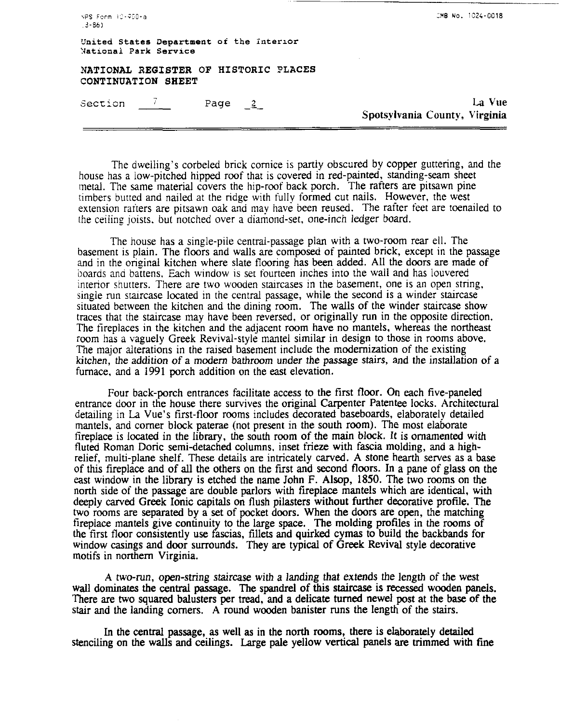| -NPS Form 13-980-a<br>. 3-86) |                                          | UMB NO. 1024-8018                       |
|-------------------------------|------------------------------------------|-----------------------------------------|
| National Park Service         | United States Department of the Interior |                                         |
| CONTINUATION SHEET            | NATIONAL REGISTER OF HISTORIC PLACES     |                                         |
| Section $\sqrt{2}$            | Page $2$                                 | La Vue<br>Spotsylvania County, Virginia |
|                               |                                          |                                         |

**,.?S** icrm I;-iIO-a **30 No.** 1C24-0018

The dwelling's corbeled brick comice is partly obscured by copper guttering, and the house has a low-pitched hipped roof that is covered in red-painted, standing-seam sheet metal. The same material covers the hip-roof back porch. The rafters are pitsawn pine timbers butted and nailed at the ridge with fully formed cut nails. However, the west extension rarters are pitsawn oak and may have been reused. The rafter feet are toenailed to the ceiling joists. but notched over a diamond-set, one-inch ledger board.

The house has a single-pile central-passage plan with a two-room rear ell. The basement is plain. The floors and walls are composed of painted brick, except in the passage and in the original kitchen where slate flooring has been added. All the doors are made of boards **and** battens. Each window is set fourteen inches into the wall and has louvered interior shutters. There are two wooden staircases in the basement, one is an open string, single run staircase located in the central passage, while the second is a winder staircase situated between the kitchen and the dining room. The walls of the winder staircase show traces that the staircase may have been reversed, or originally run in the opposite direction. The fireplaces in the kitchen and the adjacent room have no mantels, whereas the northeast room has a vaguely Greek Revival-style mantel similar in design to those in rooms above. The major alterations in the raised basement include the modernization of the existing kitchen, the addition of a modem bathroom under the passage stairs, and the installation of a furnace, and a 1991 porch addition on the east elevation.

Four back-porch entrances facilitate access to the first floor. On each five-paneled entrance door in the house there survives the original Carpenter Patentee locks. Architectural detailing in La Vue's first-floor rooms includes decorated baseboards, elaborately detailed mantels, and comer block paterae (not present in the south room). The most elaborate fireplace is located in the library, the south room of the main block. It is ornamented with fluted Roman Doric semi-detached columns. inset frieze with fascia molding, and a highrelief, multi-plane shelf. These details are intricately carved. A stone hearth serves as a base of this fireplace and of all the others on the first and second floors. In a pane of glass on the east window in the library is etched the name John F. Alsop, 1850. The two rooms on the north side of the passage are double parlors with fireplace mantels which are identical, with deeply carved Greek Ionic capitals on flush pilasters without further decorative profile. The two rooms are separated by a set of pocket doors. When the doors are open, the matching fireplace mantels give continuity to the large space. The molding profiles in the rooms of the first floor consistently use fascias, fillets and quirked cymas to build the backbands for window casings and door surrounds. They are typical of Greek Revival style decorative motifs in northern Virginia.

**A** two-run, open-string staircase with a landing that extends the length of the west wall dominates the central passage. The spandrel **of this** staircase is recessed wooden panels. There are two squared balusters per tread, and a delicate **turned** newel post at the base of the stair and the landing comers. A round wooden banister runs the length of the stairs.

In the centrat passage, as well as in the north rooms, there is elaborately detailed stenciling on the walls and ceilings. Large pale yellow vertical panels are trimmed with fine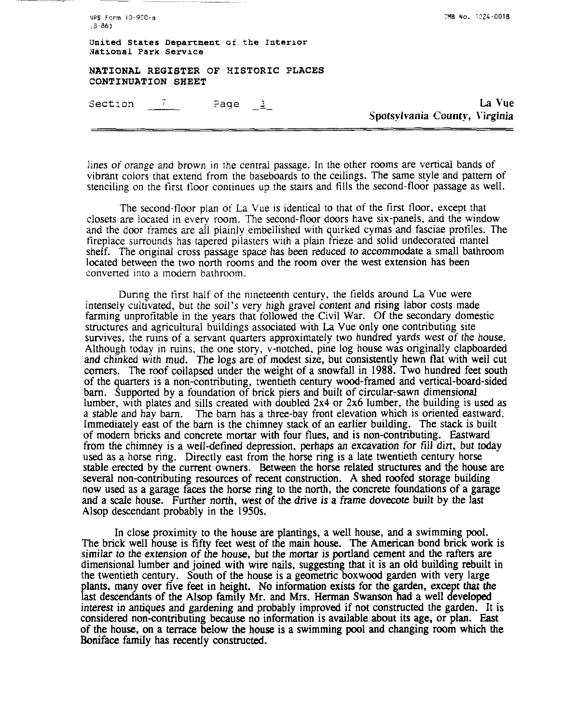| VPS Form 10-900-a<br>$3 - 86$                                     | CMB No. 1024-0018                       |
|-------------------------------------------------------------------|-----------------------------------------|
| United States Department of the Interior<br>National Park Service |                                         |
| NATIONAL REGISTER OF HISTORIC PLACES<br>CONTINUATION SHEET        |                                         |
| Section /<br>Page $2$                                             | La Vue<br>Spotsylvania County, Virginia |
|                                                                   |                                         |

lines of orange and brown in the central passage. In the other rooms are vertical bands of vibrant colors that extend from the baseboards to the ceilings. The same style and pattern of stenciling on the first floor continues up the stairs and fills the second-floor passage as well.

The second-floor plan of La Vue is identical to that of the first tloor, except that closets are located in every room. The second-floor doors have six-panels, and the window and the door irames are all plainly embellished with quirked cymas and fasciae profiles. The fireplace surrounds has tapered pilasters with a plain frieze and solid undecorated mantel shelf. The original cross passage space has been reduced to accommodate a small bathroom located between the two north rooms and the room over the west extension has been converted into a modem bathroom.

During the first half of the nineteenth century, the fields around La Vue were intensely cultivated, but the soil's very high gravel content and rising labor costs made farming unprofitable in the years that followed the Civil War. Of the secondary domestic structures and agricultural buildings associated with La Vue only one contributing site survives. the ruins of a servant quarters approximately two hundred yards west of the house. Although today in ruins, the one story, v-notched, pine log house was originally clapboarded and chinked with mud. The logs are of modest size, but consistently hewn flat with well cut comers. The roof collapsed under the weight of a snowfall in 1988. Two hundred feet south of the quarters is a non-contributing, twentieth century wood-framed and vertical-board-sided barn. Supported by a foundation of brick piers and built of circular-sawn dimensional lumber, with plates and sills created with doubled 2x4 or 2x6 lumber, the building is used as a stable and hay barn. The barn has a three-bay front elevation which is oriented eastward. Immediately east of the barn is the chimney stack of an earlier building. The stack is built of modem bricks and concrete mortar with four flues, and is non-contributing. Eastward from the chimney is a well-defined depression, perhaps an excavation for fill dirt, but today used as a horse ring. Directly east from the horse ring is a late twentieth century horse stable erected by the current owners. Between the horse related structures and the house are several non-contributing resources of recent construction. A shed roofed storage building now used as a garage faces the horse ring to the north, the concrete foundations of a garage and a scale house. Further north, west of the drive is a frame dovecote built by the last Alsop descendant probably in the 1950s.

In close proximity to the house are plantings, a well house, and a swimming pool. The brick well house is fifty feet west of the main house. The American bond brick work is similar to the extension of the house, but the mortar is portland cement and the rafters are dimensional lumber and joined with wire nails, suggesting that it is an old building rebuilt in the twentieth century. South of the house is a geometric boxwood garden with very large plants, many over five feet in height. No information exists for the garden, except that the last descendants of the Alsop family Mr. and Mrs. Herman Swanson had a well developed interest in antiques and gardening and probably improved if not constructed the garden. It is considered non-contributing because no information is available about its age, or plan. East of the house, on a terrace below the house is a swimming pool and changing room which the Boniface family has recently constructed.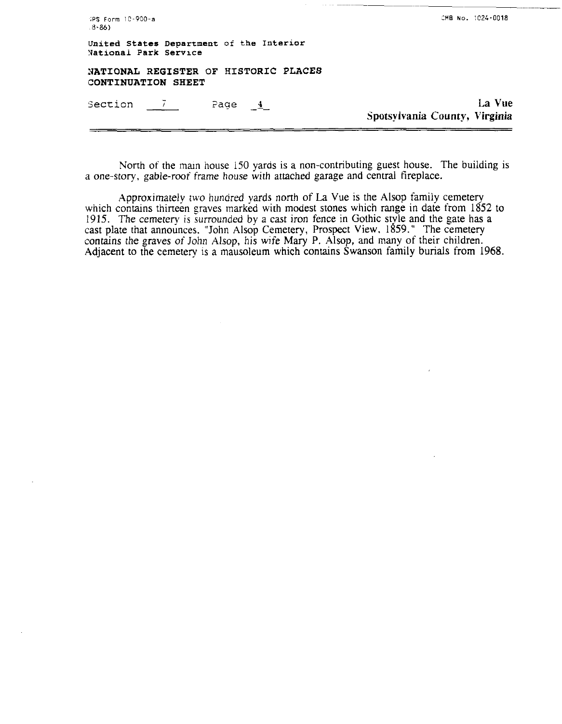| United States Department of the Interior<br>National Park Service |                                         |
|-------------------------------------------------------------------|-----------------------------------------|
| NATIONAL REGISTER OF HISTORIC PLACES<br>CONTINUATION SHEET        |                                         |
| Section 7<br>Page <u>4</u>                                        | La Vue<br>Spotsylvania County, Virginia |

North of the main house 150 yards is a non-contributing guest house. The building is a one-story, gable-roof frame house with attached garage and central fireplace.

Approximately two hundred yards north of La Vue is the Alsop family cemetery which contains thirteen graves marked with modest stones which range in date from 1852 to 1915. The cemetery is surrounded by a cast iron fence in Gothic style and the gate has a cast plate that announces. "John Alsop Cemetery, Prospect View. 1859." The cemetery contains the graves of John Alsop, his wife Mary P. Alsop, and many of their children. Adjacent to the cemetery is a mausoleum which contains Swanson family burials from 1968.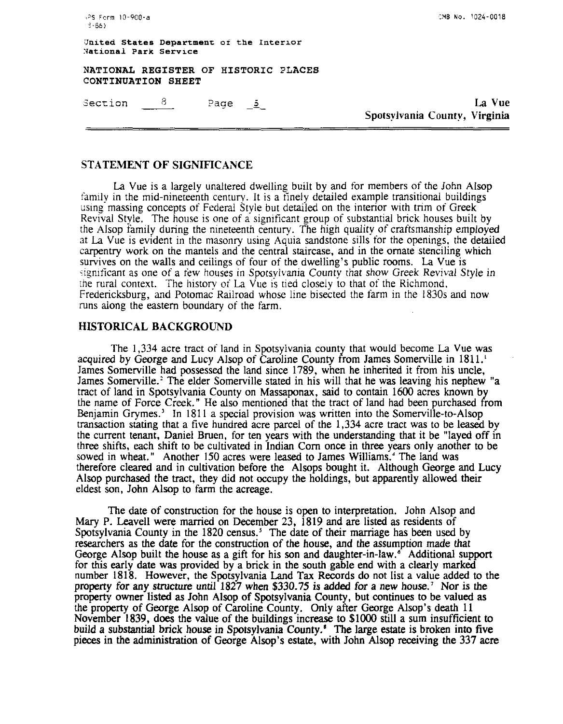+PS Form 10-900-a  $-3 - R(A)$ 

**rnB No.** 1024-0018

**Jnited States Department of the Interior National Park Service** 

**NATIONAL REGISTER OF HISTORIC ?LACES CONTINUATION SHEET** 

 $\frac{8}{1}$ Page  $5$ Section

La Vue Spotsylvania Countv, Virginia

## STATEMENT OF SIGNIFICANCE

La Vue is a largely unaltered dwelling built by and for members of the John Alsop family in the mid-nineteenth century. It is a finely detailed example transitional buildings using massing concepts of Federal Style but detailed on the interior with trim of Greek Revival Style. The house is one of a significant group of substantial brick houses built by the Alsop family during the nineteenth century. The high quality of craftsmanship employed at La Vue is evident in the masonry using Aquia sandstone sills for the openings, the detailed carpentry work on the mantels and the central staircase, and in the ornate stenciling which survives on the walls and ceilings of four of the dwelling's public rooms. La Vue is significant as one of a few houses in Spotsvlvania County that show Greek Revival Style in the rural context. The history of La Vue is tied closely to that of the Richmond. Fredericksburg, and Potomac Railroad whose line bisected the farm in the 1830s and now runs along the eastern boundary of the farm.

## HISTORICAL BACKGROUND

The 1,334 acre tract of land in Spotsylvania county that would become La Vue was acquired by George and Lucy Alsop of Caroline County from James Somerville in 1811.<sup>1</sup> James Somerville had possessed the land since 1789, when he inherited it from his uncle, James Somerville.' The elder Somerville stated in his will that he was leaving his nephew "a tract of land in Spotsylvania County on Massaponax, said to contain 1600 acres known by the name of Force Creek." He also mentioned that the tract of land had been purchased from Benjamin Grymes.' In 181 1 a special provision was written into the Somerville-to-Alsop transaction stating that a five hundred acre parcel of the 1,334 acre tract was to be leased by the current tenant, Daniel Bruen, for ten years with the understanding that it be "layed off in three shifts, each shift to be cultivated in Indian Corn once in three years only another to be sowed in wheat." Another 150 acres were leased to James Williams.<sup>4</sup> The land was therefore cleared and in cultivation before the Alsops bought it. Although George and Lucy Alsop purchased the tract, they did not occupy the holdings, but apparently allowed their eldest son, John Alsop to farm the acreage.

The date of construction for the house is open to interpretation. John Alsop and Mary P. Leavell were married on December 23, 1819 and are listed as residents of Spotsylvania County in the 1820 census.' The date of their marriage has been used by researchers as the date for the construction of the house, and the assumption made that George Alsop built the house as a gift for his son and daughter-in-law. $\epsilon^{\circ}$  Additional support for this early date was provided by a brick in the south gable end with a clearly marked number 1818. However, the Spotsylvania Land Tax Records do not list a value added to the property for any structure until 1827 when \$330.75 is added for a new house.' Nor is the property owner listed as John Alsop of Spotsylvania County, but continues to be valued as the property of George Alsop of Caroline County. Only after George Alsop's death 11 November 1839, does the value of the buildings increase to \$1000 still a sum insufficient to build a substantial brick house in Spotsylvania County.' **The** large estate is broken into five pieces in the administration of George Alsop's estate, with John Alsop receiving the 337 acre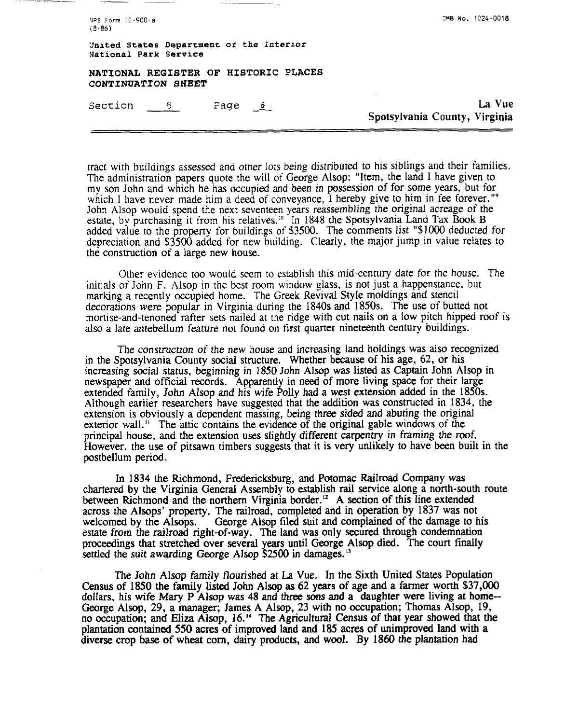| OMB No. 1024-0018                       |
|-----------------------------------------|
|                                         |
|                                         |
| La Vue<br>Spotsylvania County, Virginia |
|                                         |

tract with buildings assessed and other lots being distributed to his siblings and their families. The administration papers quote the will of George Alsop: "Item, the land I have given to my son John and which he has occupied and been in possession of for some years, but for which I have never made him a deed of conveyance. I hereby give to him in fee forever."<sup>9</sup> John Alsop wouid spend the next seventeen years reassembling the original acreage of the estate, by purchasing it from his relatives.<sup>10</sup> In 1848 the Spotsylvania Land Tax Book B added value to the property for buildings of \$3500. The comments list "\$1000 deducted for depreciation and \$3500 added for new building. Clearly, the major jump in value relates to the construction of a large new house.

Other evidence too would seem to establish this mid-century date for the house. The initials of John F. Alsop in the best room window glass, is not just a happenstance. but marking a recently occupied home. The Greek Revival Style moldings and stencil decorations were popular in Virginia during the 1840s and 1850s. The use of butted not mortise-and-tenoned rafter sets nailed at the ridge with cut nails on a low pitch hipped roof is also a late antebellum feature not found on first quarter nineteenth century buildings.

The construction of the new house and increasing land holdings was also recognized in the Spotsylvania County social structure. Whether because of his age, 62, or his increasing social status, beginning in 1850 John Alsop was listed as Captain John Alsop in newspaper and official records. Apparently in need of more living space for their large extended family, John Alsop and his wife Polly had a west extension added in the 1850s. Although earlier researchers have suggested that the addition was constructed in 1834, the extension is obviously a dependent massing, being three sided and abuting the original exterior wall." The attic contains the evidence of the original gable windows of the principal house, and the extension uses slightly different carpentry in framing the roof. However, the use of pitsawn timbers suggests that it is very unlikely to have been built in the postbellum period.

In 1834 the Richmond, Fredericksburg, and Potomac Railroad Company was chartered by the Virginia General Assembly to establish rail service along a north-south route between Richmond and the northern Virginia border." A section of this line extended across the Alsops' property. The railroad, completed and in operation by 1837 was not George Alsop filed suit and complained of the damage to his estate from the railroad right-of-way. The land **was** only secured through condemnation proceedings that stretched over several years until George Alsop died. The court finally settled the suit awarding George Alsop \$2500 in damages.<sup>13</sup>

The John Alsop family flourished at La Vue. In the Sixth United States Population Census of 1850 the family listed John Alsop as 62 years of age and a farmer worth \$37,000 dollars, his wife Mary P Alsop was 48 and three sons **and** a daughter were living at home-- George Alsop, 29, a manager; James A Alsop, 23 with no occupation; Thomas Alsop, 19, no occupation; **and Eliza** Alsop, 16." The Agricultural Census of that year showed **that** the plantation contained 550 acres of improved land and 185 acres of unimproved land with a diverse crop base of wheat corn, dairy products, and wool. By 1860 the plantation had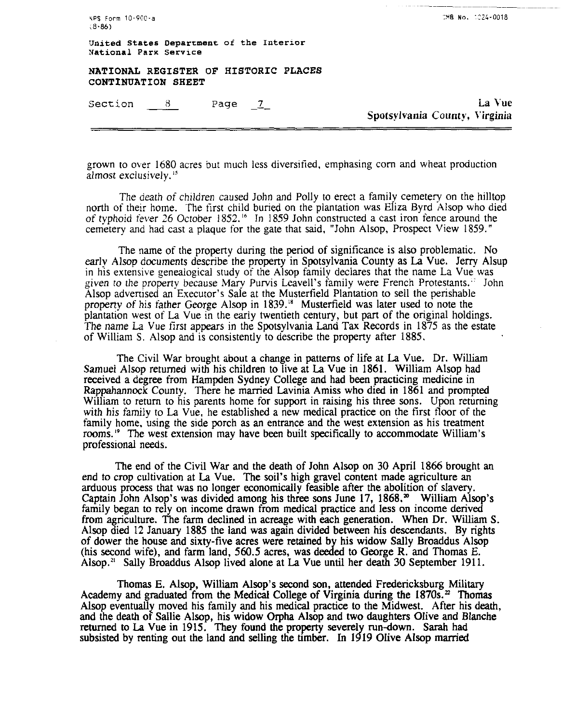|        | $NPS$ Form $10-900-a$ |
|--------|-----------------------|
| (8.86) |                       |

**United States Deparrment oi the Interror National Park Service** 

**NATIONAL REGISTER OF HISTORIC PLACES CONTINUATION SHEET**  WPS Form 10-900-a<br>
(8-86)<br>
United States Department of the 3<br>
National Park Service<br>
NATIONAL REGISTER OF HISTOR<br>
CONTINUATION SHEET<br>
Section <u>8</u> Page 1<br>
The Section

**<sup>1</sup>**- La Vue Spotsylvania County. Virginia

grown to over 1680 acres but much less diversified, emphasing corn and wheat production almost exclusively.<sup>15</sup>

The death of children caused John and Polly to erect a family cemetery on the hilltop north of their home. The tirst child buried on the plantation was Eliza Byrd Alsop who died of typhoid fever 26 October 1852.<sup>16</sup> In 1859 John constructed a cast iron fence around the cemetery and had cast a plaque for the gate that said, "John Alsop, Prospect View 1859."

The name of the property during the period of significance is also problematic. No early Alsop documents describe the property in Spotsylvania County as La Vue. Jerry Alsup in his extensive geneaiogical study of the Alsop family declares that the name La Vue was given to the propeny because Mary Purvis Leavell's family were French Protestants.,' John Alsop advertised an Executor's Sale at the Musterfield Plantation to sell the perishable property of his father George Alsop in 1839.<sup>18</sup> Musterfield was later used to note the plantation west of La Vue in the early twentieth century, but part of the original holdings. The name La Vue first appears in the Spotsylvania Land Tax Records in 1875 as the estate of William S. Alsop and is consistently to describe the property after 1885.

The Civil War brought about a change in patterns of life at La Vue. Dr. William Samuel Alsop returned with his children to live at La Vue in 1861. William Alsop had received a degree from Hampden Sydney College and had been practicing medicine in Rappahannock County. There he married Lavinia Amiss who died in 1861 and prompted William to return to his parents home for support in raising his three sons. Upon returning with his family to La Vue, he established a new medical practice on the first floor of the family home, using the side porch as an entrance and the west extension as his treatment rooms.<sup>19</sup> The west extension may have been built specifically to accommodate William's professional needs.

The end of the Civil War and the death of John Alsop on 30 April 1866 brought an end to crop cultivation at La Vue. The soil's high gravel content made agriculture an arduous process that was no longer economically feasible after the abolition of slavery. Captain John Alsop's was divided among his three sons June 17, 1868." William Alsop's family began to rely on income drawn from medical practice and less on income derived from agriculture. The farm declined in acreage with each generation. When Dr. William S. Alsop died 12 January 1885 the land was again divided between his descendants. By rights of dower the house and sixty-five acres were retained by his widow Sally Broaddus Alsop (his second wife), and farm land, 560.5 acres, was deeded to George R. and Thomas E. Alsop." Sally Broaddus Alsop lived alone at La Vue until her death **30** September 1911.

Thomas E. Alsop, William Alsop's second son, attended Fredericksburg Military Academy and graduated from the Medical College of Virginia during the  $1870s<sup>2</sup>$ . Thomas Alsop eventually moved his family and his medical practice to the Midwest. After his death, and the death of Sallie Alsop, his widow Orpha Alsop and two daughters Olive and Blanche returned to La Vue in 1915. They found the property severely run-down. Sarah had and the death of Sallie Alsop, his widow Orpha Alsop and two daughters Olive and Blanche returned to La Vue in 1915. They found the property severely run-down. Sarah had subsisted by renting out the land and selling the ti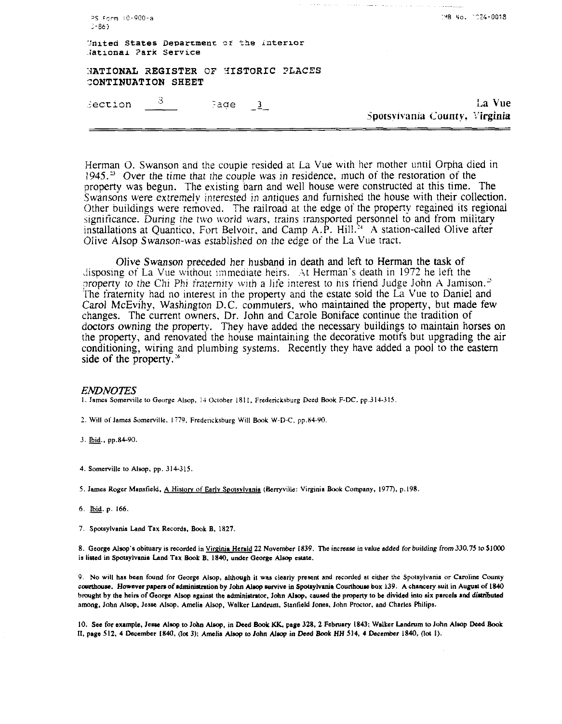| Section 3<br>Page 3                                               | La Vue<br>Spotsylvania County, Virginia |
|-------------------------------------------------------------------|-----------------------------------------|
| NATIONAL REGISTER OF HISTORIC PLACES<br>CONTINUATION SHEET        |                                         |
| United States Department of the Interior<br>Jational Park Service |                                         |
| PS Form 10-900-a<br>$-36$                                         | -2MB No. 1224-0018                      |

يوسطون والتاريب والمحافظ والمحافظ

and a contract

Herman O. Swanson and the couple resided at La Vue with her mother until Orpha died in  $1945.^3$  Over the time that the couple was in residence, much of the restoration of the property was begun. The existing barn and well house were constructed at this time. The Swansons were extremely interested in antiques and furnished the house with their collection. Other buildings were removed. The railroad at the edge of the property regained its regional significance. During the two world wars, trains transported personnel to and from military installations at Quantico, Fort Belvoir, and Camp A.P. Hill.<sup>34</sup> A station-called Olive after Olive Alsop Swanson-was established on the edge of the La Vue tract.

Olive Swanson preceded her husband in death and left to Herman the task of disposing of La Vue without immediate heirs. At Herman's death in 1972 he left the property to the Chi Phi fraternity with a life interest to his friend Judge John A Jamison.<sup>25</sup> The fraternity had no interest in the property and the estate sold the La Vue to Daniel and Carol McEvihy, Washington D.C. commuters, who maintained the property, but made few changes. The current owners, Dr. John and Carole Boniface continue the tradition of doctors owning the property. They have added the necessary buildings to maintain horses on the property, and renovated the house maintaining the decorative motifs but upgrading the air conditioning, wiring and plumbing systems. Recently they have added a pool to the eastern side of the property. $36$ 

#### **ENDNOTES**

1. James Somerville to George Alsop, 14 October 1811, Fredericksburg Deed Book F-DC, pp.314-315.

2. Will of James Somerville, 1779, Fredericksburg Will Book W-D-C, pp.84-90.

3. Ibid., pp.84-90.

4. Somerville to Alsop, pp. 314-315.

5. James Roger Mansfield, A History of Early Spotsylvania (Berryville: Virginia Book Company, 1977), p.198.

6. Ibid. p. 166.

7. Spotsylvania Land Tax Records, Book B, 1827.

8. George Alsop's obituary is recorded in Virginia Herald 22 November 1839. The increase in value added for building from 330.75 to \$1000 is listed in Spotsylvania Land Tax Book B, 1840, under George Alsop estate.

9. No will has been found for George Alsop, although it was clearly present and recorded at either the Spotsylvania or Caroline County courthouse. However papers of administration by John Alsop survive in Spotsylvania Courthouse box 139. A chancery suit in August of 1840 brought by the heirs of George Alsop against the administrator, John Alsop, caused the property to be divided into six parcels and distributed among, John Alsop, Jesse Alsop, Amelia Alsop, Walker Landrum, Stanfield Jones, John Proctor, and Charles Philips.

10. See for example, Jesse Alsop to John Alsop, in Deed Book KK, page 328, 2 February 1843; Walker Landrum to John Alsop Deed Book II, page 512, 4 December 1840, (lot 3); Amelia Alsop to John Alsop in Deed Book HH 514, 4 December 1840, (lot 1).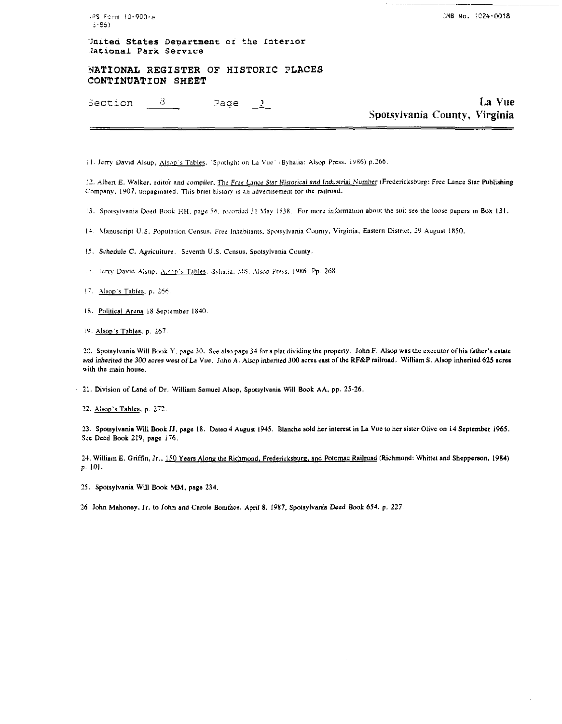(PS Form 10-900-a  $3 - 86$ )

CMB No. 1024-0018

United States Department of the Interior National Park Service

NATIONAL REGISTER OF HISTORIC PLACES CONTINUATION SHEET

-3 Section Page  $\frac{3}{2}$ 

La Vue Spotsylvania County, Virginia

11. Jerry David Alsup, Alsop's Tables, "Spotlight on La Vue" (Byhalia: Alsop Press, 1986) p.266.

12. Albert E. Walker, editor and compiler, The Free Lance Star Historical and Industrial Number (Fredericksburg: Free Lance Star Publishing Company, 1907, unpaginated. This brief history is an advertisement for the railroad.

13. Spotsylvania Deed Book HH, page 56, recorded 31 May 1838. For more information about the suit see the loose papers in Box 131.

14. Manuscript U.S. Population Census, Free Inhabitants, Spotsylvania County, Virginia, Eastern District, 29 August 1850.

15. Schedule C. Agriculture. Seventh U.S. Census, Spotsylvania County.

.5. Jerry David Alsup, Assop's Tables, Byhalia, MS: Alsop Press, 1986. Pp. 268.

17. Alsop's Tables, p. 266.

18. Political Arena 18 September 1840.

19. Alsop's Tables, p. 267.

20. Spotsylvania Will Book Y. page 30. See also page 34 for a plat dividing the property. John F. Alsop was the executor of his father's estate and inherited the 300 acres west of La Vue. John A. Alsop inherited 300 acres east of the RF&P railroad. William S. Alsop inherited 625 acres with the main house.

21. Division of Land of Dr. William Samuel Alsop, Spotsylvania Will Book AA, pp. 25-26.

22. Alsop's Tables, p. 272.

23. Spotsylvania Will Book JJ, page 18. Dated 4 August 1945. Blanche sold her interest in La Vue to her sister Olive on 14 September 1965. See Deed Book 219, page 176.

24. William E. Griffin, Jr., 150 Years Along the Richmond, Fredericksburg, and Potomac Railroad (Richmond: Whittet and Shepperson, 1984) p. 101.

25. Spotsylvania Will Book MM, page 234.

26. John Mahoney, Jr. to John and Carole Boniface, April 8, 1987, Spotsylvania Deed Book 654, p. 227.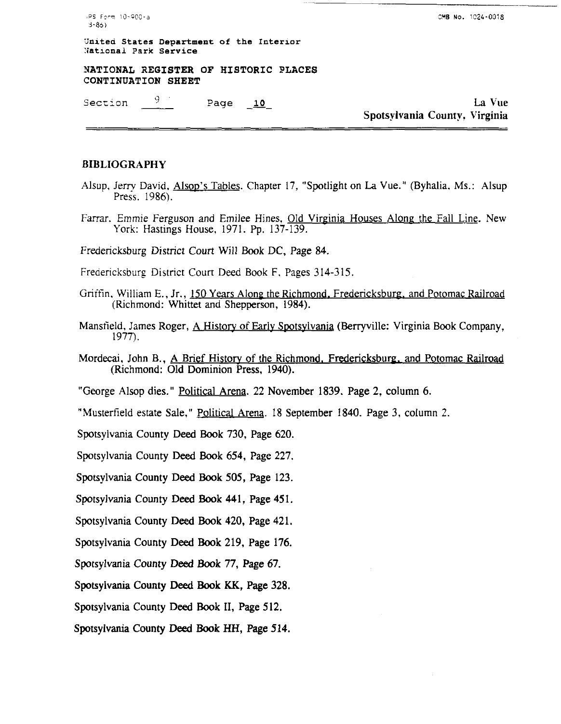**PS Ferm 10-900-a 3YB No. 2024-0018** 3.86)

--

**3nitea States Department of the Interior :latronal Park Service** 

**YATIONAL REGISTER OF HISTORIC PLACES CONTINUATION SHEET** 

Section  $\frac{9}{2}$  Page  $\frac{10}{2}$  Bection La Vue Spotsylvania County, Virginia

## BIBLIOGRAPHY

- Alsup, Jerry David, Alsop's Tables. Chapter 17, "Spotlight on La Vue." (Byhalia, Ms.: Alsup Press. 1986).
- Farrar. Emmie Ferguson and Emilee Hines. Old Virginia Houses Alone the Fall Line. New York: Hastings House, 1971. Pp. **137-139.**

Fredericksburg District Court Will Book DC, Page **84.** 

Freaencksburg District Court Deed Book F. Pages **314-315.** 

- Griffin, William E., Jr., 150 Years Along the Richmond. Fredericksburg, and Potomac Railroad (Richmond: Whittet and Shepperson, 1984).
- Mansfield, James Roger, A History of Early Spotsvlvania (Berryville: Virginia Book Company, 1977).
- Mordecai, John B., A Brief History of the Richmond, Fredericksburg, and Potomac Railroad (Richmond: Old Dominion Press, **1940).**

"George Alsop dies." **PoliticalArena. <sup>22</sup>**November **1839.** Page **2,** column **6.** 

"Musterfield estate Sale," Political Arena. 18 September **1840.** Page **3,** column 2.

Spotsylvania County Deed Book **730,** Page **620.** 

Spotsylvania County Deed Book **654,** Page **227.** 

Spotsylvania County Deed Book **505,** Page **123.** 

Spotsylvania County Deed Book **441,** Page **451.** 

Spotsylvania County Deed Book **420,** Page **421.** 

Spotsylvania County Deed Book **219,** Page **176.** 

Spotsylvania County Deed Book **77,** Page **67.** 

Spotsylvania County **Deed** Book **KK,** Page **328.** 

Spotsylvania County Deed Book 11, Page **512.** 

Spotsylvania County **Deed** Book HH, Page **514.**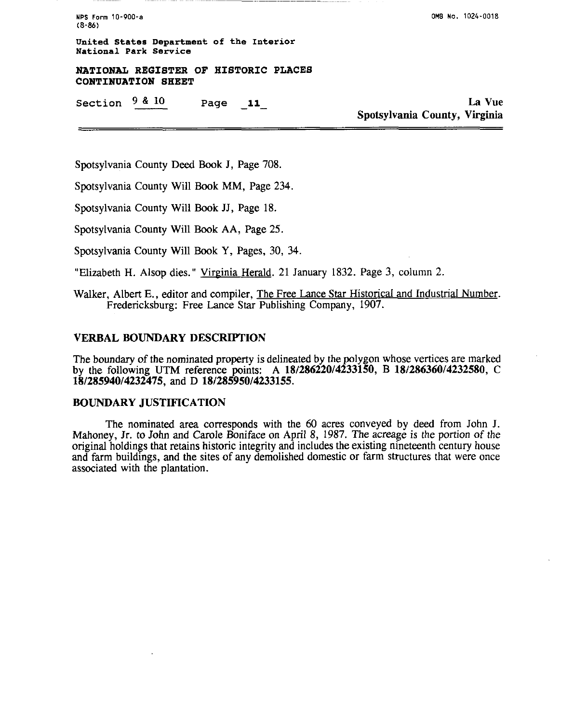**NPS Form** 10-900-a **(8-86)** 

**United States Department of the Interior National Park Service** 

**NATIONAL REGISTER OF HISTORIC PLACES CONTINUATION SHEET** 

Section  $9 \& 10$  Page 11 **La Vue** 

Spotsylvania County, Virginia

Spotsylvania County Deed **Book J,** Page 708.

Spotsylvania County Will Book MM, Page 234.

Spotsylvania County Will **Book** JJ, Page 18.

Spotsylvania County Will **Book** AA, Page 25.

Spotsylvania County Will **Book** Y, Pages, 30, 34.

"Elizabeth H. Alsop dies." Virginia Herald. 21 January 1832. Page 3, column 2.

Walker, Albert E., editor and compiler, The Free Lance Star Historical and Industrial Number. Fredericksburg: Free Lance Star Publishing Company, 1907.

## VERBAL BOUNDARY DESCRIPTION

The boundary of the nominated property is delineated by the polygon whose vertices are marked by the following UTM reference points: A **18/286220/4233150, B 18128636014232580,** C **18/285940/4232475,** and D **18/285950/4233155.** 

## BOUNDARY JUSTIFICATION

The nominated **area** corresponds with the 60 acres conveyed by deed from John J. Mahoney, Jr. to John and Carole Boniface on April 8, 1987. The acreage is the portion of the original holdings that retains historic integrity and includes the existing nmeteenth century house and farm buildings, and the sites of any demolished domestic or farm structures that were once associated with the plantation.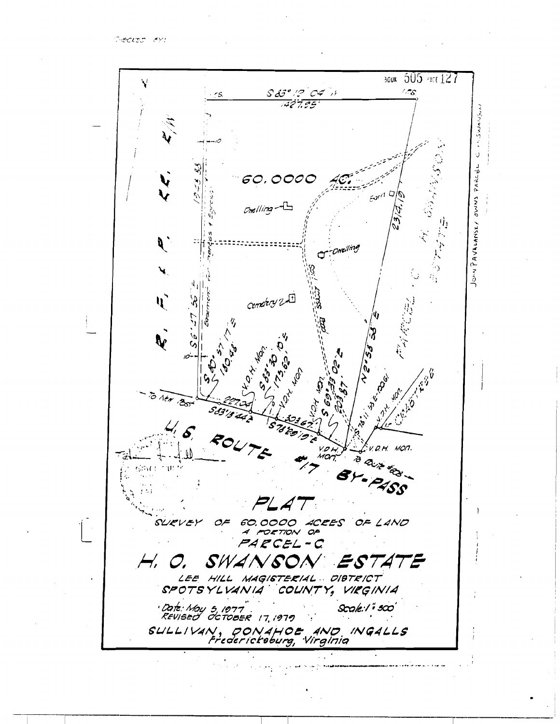**CHECKED (EY)** 

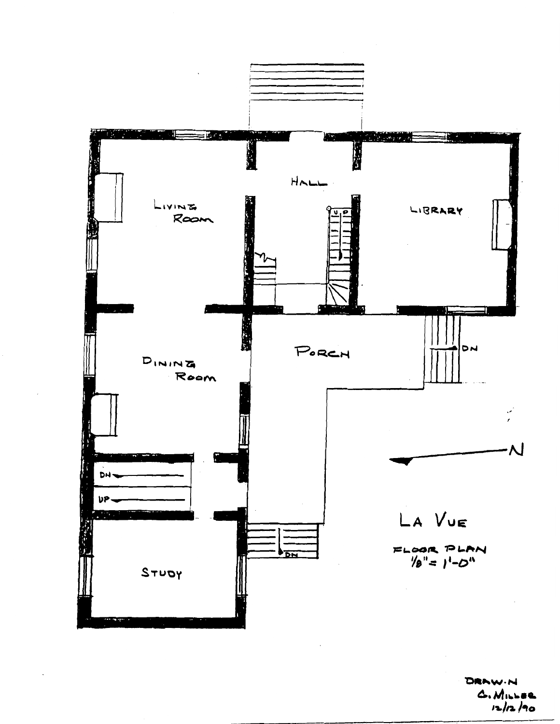

DRAW.N  $A. M. L = 0.$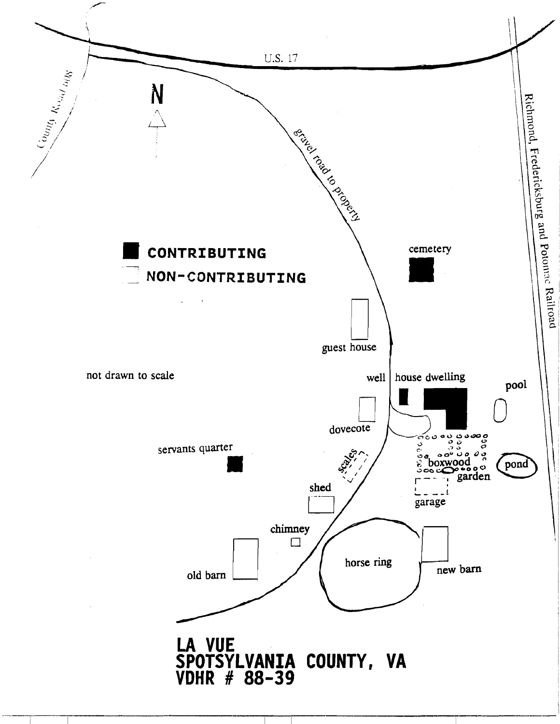